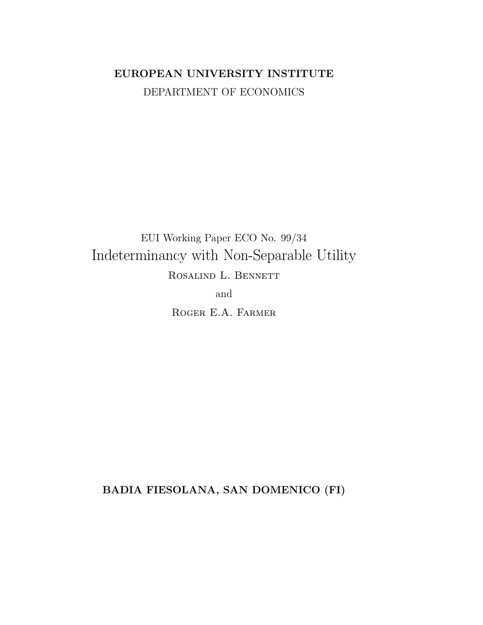# EUROPEAN UNIVERSITY INSTITUTE DEPARTMENT OF ECONOMICS

EUI Working Paper ECO No. 99/34 Indeterminancy with Non-Separable Utility ROSALIND L. BENNETT

and

ROGER E.A. FARMER

BADIA FIESOLANA, SAN DOMENICO (FI)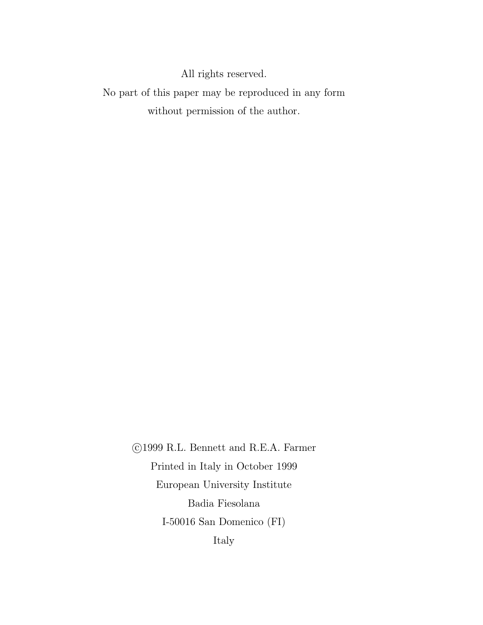All rights reserved.

No part of this paper may be reproduced in any form without permission of the author.  $\;$ 

> ©1999 R.L. Bennett and R.E.A. Farmer Printed in Italy in October 1999 European University Institute Badia Fiesolana I-50016 San Domenico $(\mathrm{FI})$ Italy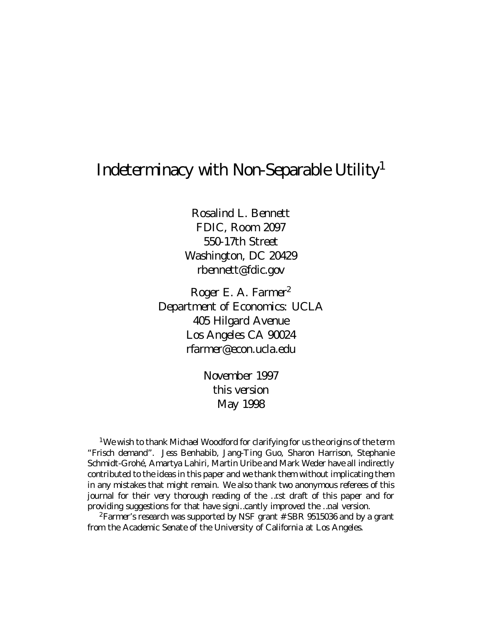# Indeterminacy with II on Separable U tility

Rosalind L. Bennett FD IC, R com 209 7 550-17th Street W ashington, D C 20429 rbennett@folic.cpv

 $R$  copr E. A. Farmer<sup>2</sup> Department of Economics: U CL A 405 H ilgard A venue  $L \text{ } \text{ } \text{ } \text{ } C \text{ } \text{ } A$  10024 rfamer@econuclaedu

> $\mathbb N$  a comber 1997 this version  $M$  ay 1998

<sup>1</sup>W ewish to thankll idhad W coolford for darifying for us the origins of the term "Frisch demand". Jess Benhabib, Jang Ting Cuo, Sharon II arrison, Stephanie Schmidt i rdné li martyal ahiri, Il artin U ribeand III ark III eder have all indirectly contributed to the ideas in this paper and we thank them without implicating them in any mistakes that might remain. We also thank two anonymous referees of this journal for their very thorough reading of the ...rst draft of this paper and for providing suppstions for that have signi...cantly improved the ... nal version.

<sup>2</sup> Famer's research was supported by II SF grant # SBR 9515036 and by a grant from the l cademic Senate of the U niversity of California at Los I noples.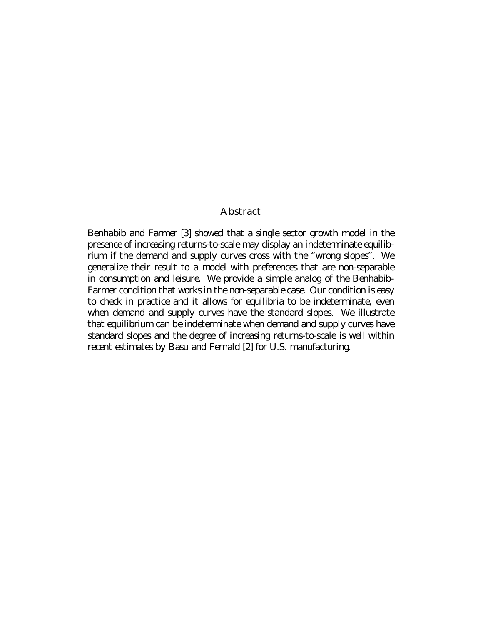### A bstract

B enhabib and Farmer [3] showed that a single sector growth model in the presence of increasing returns to scale may display an indeterminate equilibrium if the demand and supply curves cross with the "wrang slopes". We generalize their result to a model with preferences that are non-separable in consumption and leisure We provide a simple analog of the B enhabib-Famer condition that works in the non-separable case 0 uncondition is easy to dheck in practice and it allows for equilibria to be indeterminate, even when demand and supply curves have the standard slopes. We illustrate that equilibrium can be indeterminate when demand and supply curves have standard slopes and the degree of increasing returns to scale is well within recent estimates by B asu and Fernald [2] for U.S. manufacturing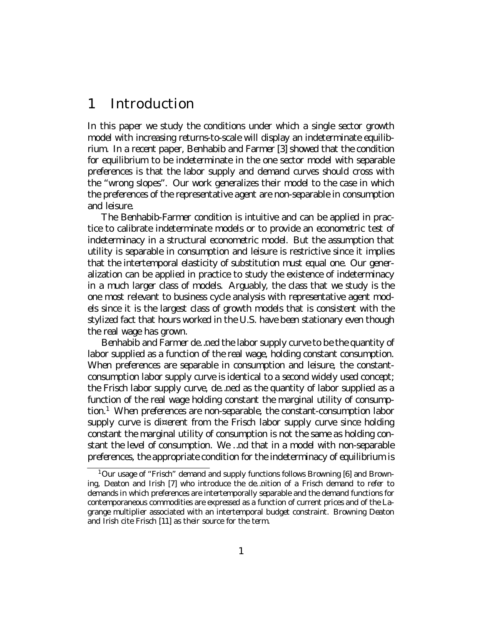#### Introduction 1

In this paper we study the conditions under which a single sector growth model with increasing returns to scale will display an indeterminate equilibrium. In a recent paper, B enhabib and Farmer [3] showed that the condition for equilibrium to be indeterminate in the one sector model with separable preferences is that the labor supply and demand curves should cross with the "wrangslapes". Our work apperatizes their model to the case in which the preferences of the representative agent are non-separable in consumption and leisure.

The Benhabib Farmer condition is inituitive and can be applied in practice to calibrate indeterminate models or to provide an econometric test of indeterminacy in a structural econometric model. But the assumption that utility is separable in consumption and leisure is restrictive since it implies that the intertemporal elasticity of substitution must equal one 0 un opheralization can be applied in practice to study the existence of indeterminacy in a much larger dass of models. A roughly the dass that we study is the one most relevent to business cycle analysis with representative agent models since it is the largest dass of growth models that is consistent with the stylized fact that hours worked in the U.S. have been stationary even though the real wage has grown.

Benhabiband Farmende..ned the labor supply ourve to be the quantity of labor supplied as a function of the real wage, holding constant consumption. Il hen preferences are separable in consumption and leisure the constant consumption labor supply curve is identical to a second widely used concept the Frisch labor supply curve, de..ned as the quantity of labor supplied as a function of the real wage holding constant the marginal utility of consump- $\pi$  w han preferences are non-separable the constant consumption labor supply aurve is di¤ erent from the Frisch labor supply aurve since holding constant the marginal utility of consumption is not the same as holding constant the level of consumption. We ... not that in a model with non-separable preferences, the appropriate condition for the indeterminecy of equilibrium is

 $10$  ur usage of "Frisch" demand and supply functions follows B rowning [G] and B rown ing Deaton and Irish [7] who introduce the de..nition of a Frisch demand to refer to demands in which preferences are intertemporally separable and the demand functions for contemporaneous commodities are expressed as a function of current prices and of the lagrange multiplier associated with an intertemporal budget constraint. B rowning D eaton and Irish dite Frisch [11] as their source for the term.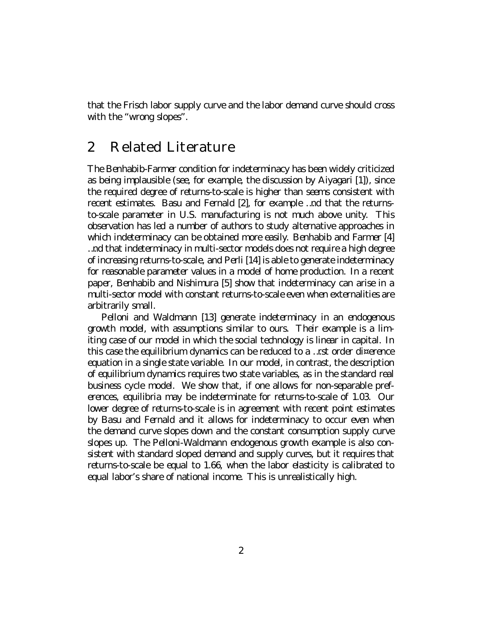that the Frisch labor supply curve and the labor demand curve should cross with the "wrangslapes".

#### $\mathcal{P}$ Related Literature

The Benhabib Farmer condition for indeterminacy has been widely oriticized as being implausible (see for example, the discussion by A iyageri [1]), since the required degree of returns to scale is higher than seems consistent with recent estimates. B asu and Fernald [2], for example ... nd that the returns toscale parameter in U.S. manufacturing is not much above unity. This doservation has led a number of authors to study alternative approaches in which indeterminacy can be obtained more easily. B enhabib and Farmer [4] ...nd that indeterminacy in multi-sector models does not require a high degree of increasing returns to scale and Perli [14] is able to operate indeterminacy for reasonable parameter values in a model of home production. In a recent paper, B enhabib and II ishimura [5] show that indeterminacy can arise in a multi-sector model with constant returns to scale even when external it ies are abitrarily small.

Pelloni and W aldmann [13] generate indeterminacy in an endogenous growth model, with assumptions similar to ours. I hair example is a limiting case of curmodel in which the social technology is linear in capital. In this case the equilibrium dynamics can be reduced to a ... rst order di¤ erence equation in a single state variable. In curmodel, in contrast, the description of equilibrium olynamics requires two state variables, as in the standard real business cyde model. We show that, if one allows for non-separable preferences, equilibria may be indeterminate for returns to scale of 1.03. 0 un lover degree of returns to scale is in agreement with recent point estimates by B asu and Fernald and it allows for indeterminacy to cocur even when the demand curve slopes down and the constant consumption supply curve slopes up. The Pelloni-III aldmann endopphous growth example is also consistent with standard sloped demand and supply curves, but it requires that returns to scale be equal to 1.66 when the labor elasticity is calibrated to equal labor's share of national income. This is unrealistically high.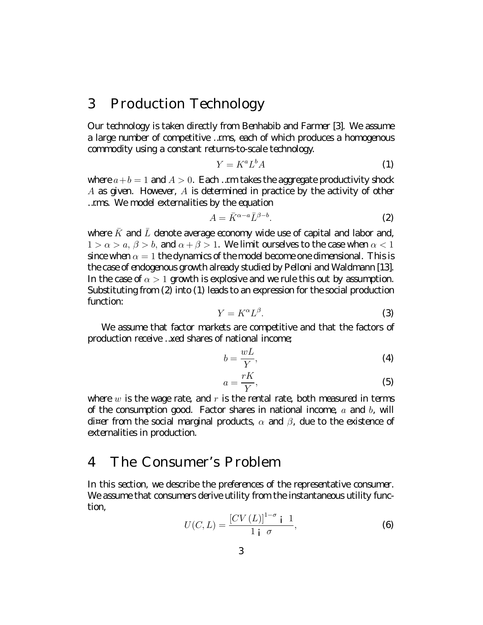# 3 Production Technology

0 un technology is taken directly from B enhabib and Farmer [3]. We assume a large number of competitive ... mns, each of which produces a homogenous commodity using a constant returns to scale technology.

$$
Y = K^a L^b A \tag{1}
$$

where  $a+b=1$  and  $A>0$ . Each ... m takes the appropriation productivity shock  $A$  as given. If ovever,  $A$  is determined in practice by the activity of other ...ms.  $W$  emodel externalities by the equation

$$
A = \bar{K}^{\alpha - a} \bar{L}^{\beta - b}.
$$
 (2)

where  $K$  and  $L$  denote average economy wide use of capital and labor and  $1 > \alpha > a, \beta > b$ , and  $\alpha + \beta > 1$ . We limit curselves to the case when  $\alpha < 1$ sincewhen  $\alpha = 1$  the dynamics of the model become and enterprisonal. This is the case of endogenous growth already studied by  $P$  elloni and  $W$  aldmann [13]. In the case of  $\alpha > 1$  growth is explosive and we rule this out by assumption. Substituting from (2) into (1) leads to an expression for the social production function

$$
Y = K^{\alpha} L^{\beta}.
$$
 (3)

We assume that factor markets are competitive and that the factors of production receive... xed shares of national income

$$
b = \frac{wL}{Y},\tag{4}
$$

$$
a = \frac{rK}{Y},\tag{5}
$$

where  $w$  is the vage rate, and  $r$  is the rental rate, both measured in terms of the consumption appol Factor shares in national income  $a$  and  $b$ , will  $\alpha$  of  $\alpha$  from the social marginal products,  $\alpha$  and  $\beta$ , due to the existence of externalities in production.

#### The Consumer's Problem  $\mathbf{\Lambda}$

In this section, we describe the preferences of the representative consumer. We assume that consumers derive utility from the instantaneous utility function

$$
U(C, L) = \frac{\left[CV\left(L\right)\right]^{1-\sigma} i \ 1}{1 \ i \ \sigma},\tag{6}
$$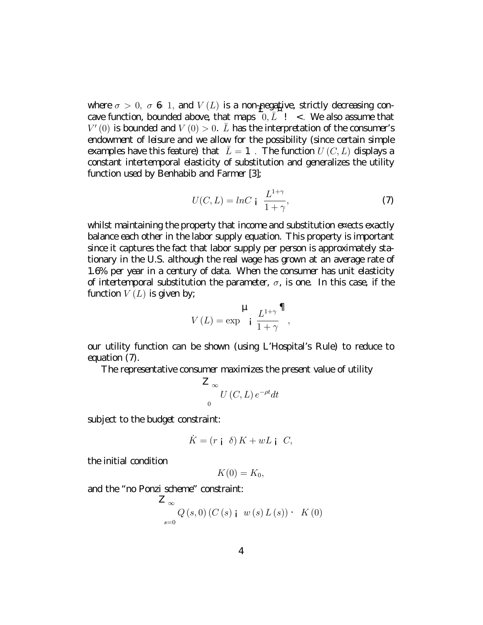where  $\sigma > 0$ ,  $\sigma \in \mathbb{1}$ , and  $V(L)$  is a non-peopling strictly decreasing concave function, bounded above, that maps  $\overline{0}, \overline{L}$  ! < W e also assume that  $V'(0)$  is bounded and  $V(0) > 0$ .  $\overline{L}$  has the interpretation of the consumer's endownent of leisure and we allow for the possibility (since certain simple examples have this feature) that  $\bar{L} = 1$ . The function  $U(C, L)$  displays a constant intertemporal elasticity of substitution and generalizes the utility function used by B enhabib and Farmer [3];

$$
U(C, L) = \ln C \mathbf{i} \frac{L^{1+\gamma}}{1+\gamma},\tag{7}
$$

whilst maintaining the property that income and substitution exects exactly balance each other in the labor supply equation. This property is important since it captures the fact that labor supply per person is approximately sta tionary in the U.S. although the real wape has grown at an average rate of 1.6% per year in a century of data W hen the consumer has unit elasticity of intertemporal substitution the parameter,  $\sigma$ , is one. In this case, if the function  $V(L)$  is given by,

$$
V\left(L\right) = \exp \left[ \frac{L^{1+\gamma}}{1+\gamma} \right]
$$

our utility function can be shown (using L'H ospital's Rule) to reduce to equation  $(7)$ .

The representative consumer maximizes the present value of utility

$$
\sum_{0}^{\infty} U(C, L) e^{-\rho t} dt
$$

subject to the budget constraint:

$$
\dot{K} = (r \mathbf{i} \ \delta) K + w L \mathbf{i} \ C,
$$

the initial condition

$$
K(0)=K_0,
$$

and the "noP and scheme" constraint

$$
\mathbf{Z}_{\infty} \underset{s=0}{\sim} Q\left(s,0\right)\left(C\left(s\right) + w\left(s\right)L\left(s\right)\right) \cdot K\left(0\right)
$$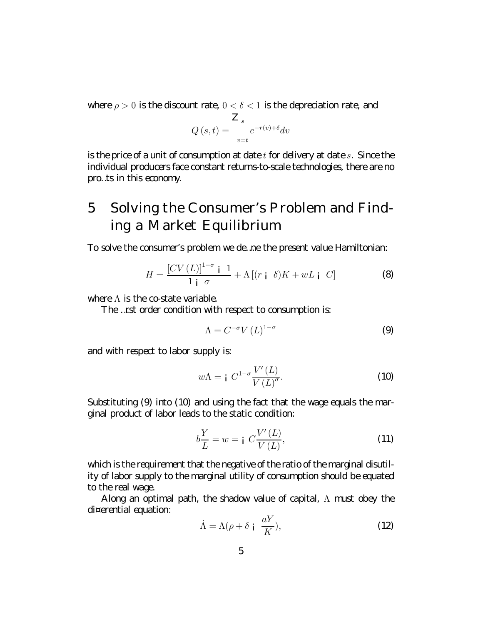where  $\rho > 0$  is the discount rate  $0 < \delta < 1$  is the depredation rate, and

$$
Q(s,t) = \sum_{v=t}^{Z_s} e^{-r(v)+\delta} dv
$$

is the price of a unit of consumption at date t for delivery at dates. Since the individual producers face constant returns to scale technologies, there are no pro..ts in this economy.

### 5 Sdvingthe Cansumer's Problem and Findingall arket Equilibrium

Tosdve the consumer's problem we de..ne the present value H amiltonian.

$$
H = \frac{\left[CV\left(L\right)\right]^{1-\sigma} \mathbf{i} \quad 1}{1 \mathbf{i} \quad \sigma} + \Lambda \left[(r \mathbf{i} \quad \delta)K + wL \mathbf{i} \quad C\right] \tag{8}
$$

where  $\Lambda$  is the costate variable.

The ... rst arder candition with respect to cansumption is:

$$
\Lambda = C^{-\sigma} V(L)^{1-\sigma} \tag{9}
$$

and with respect to labor supply is:

$$
w\Lambda = \mathbf{i} \ C^{1-\sigma} \frac{V'(L)}{V(L)^{\sigma}}.
$$
 (10)

Substituting  $(9)$  into (10) and using the fact that the wage equals the marginal product of labor leads to the static condition.

$$
b\frac{Y}{L} = w = \mathbf{i} \ C\frac{V'(L)}{V(L)},\tag{11}
$$

which is the requirement that the negative of the ratio of the marginal disutility of labor supply to the marginal utility of consumption should be equated to the real wage.

 $\Lambda$  long an optimal path, the shadow value of capital,  $\Lambda$  must doey the  $d$ <sup>¤</sup> erential equation:

$$
\dot{\Lambda} = \Lambda(\rho + \delta \mid \frac{aY}{K}),\tag{12}
$$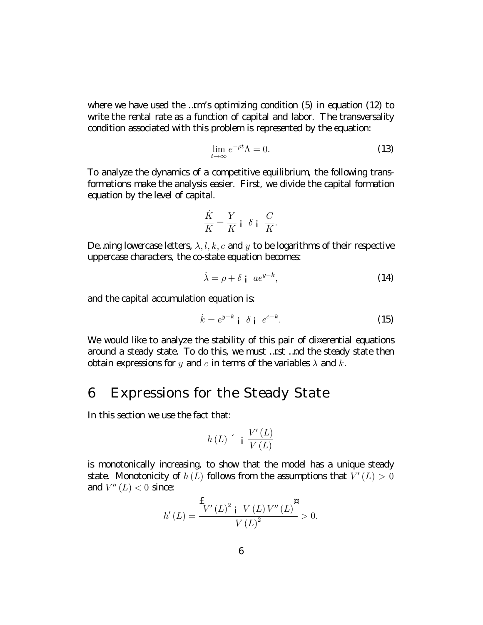where we have used the ... m's optimizing condition  $(5)$  in equation  $(12)$  to write the rental rate as a function of capital and labor. The transversality condition associated with this problem is represented by the equation:

$$
\lim_{t \to \infty} e^{-\rho t} \Lambda = 0. \tag{13}
$$

To analyze the dynamics of a competitive equilibrium, the following transformations make the analysis easier. First, we divide the capital formation equation by the level of capital.

$$
\frac{\dot{K}}{K} = \frac{Y}{K} \mathbf{i} \delta \mathbf{j} \frac{C}{K}.
$$

De ninglover case letters,  $\lambda, l, k, c$  and y to be loop it this of their respective uppercase characters, the costate equation becomes

$$
\dot{\lambda} = \rho + \delta \, \mathbf{i} \, a e^{y - k},\tag{14}
$$

and the capital accumulation equation is:

$$
\dot{k} = e^{y-k} \mathbf{i} \quad \delta \mathbf{j} \quad e^{c-k}.\tag{15}
$$

If e would like to analyze the stability of this pair of di¤erential equations around a steady state. To do this, we must ... rst ... nd the steady state then dotain expressions for y and c in terms of the variables  $\lambda$  and k.

## 6 Expressions for the Steady State

In this section we use the fact that

$$
h\left(L\right) \quad \text{if } \frac{V'\left(L\right)}{V\left(L\right)}
$$

is monotonically increasing to show that the model has a unique steedy state. If anotonicity of  $h(L)$  follows from the assumptions that  $V'(L) > 0$ and  $V''(L) < 0$  since

$$
h'(L) = \frac{\mathbf{f}_{V'(L)^{2} \, \mathbf{i} \, V(L) \, V''(L)}{\mathbf{V}(L)^{2}} > 0.
$$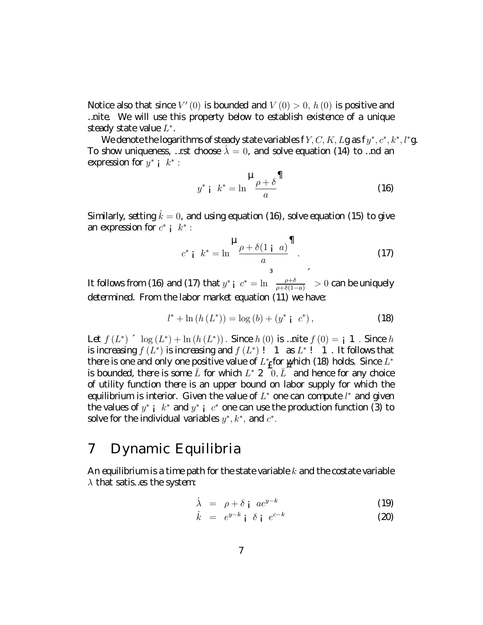II otice also that since  $V'(0)$  is bounded and  $V(0) > 0$ ,  $h(0)$  is positive and ...nite We will use this property below to establish existence of a unique steedy state value  $L^*$ .

We denote the loop it thus of steady state variables  $fY, C, K, Lg$  as  $f y^*, c^*, k^*, l^* g$ . To show uniqueness, ... rst choose  $\lambda = 0$ , and solve equation (14) to ... not an expression for  $y^*$  ;  $k^*$  :

$$
y^* \mathbf{i} \quad k^* = \ln \frac{\mu}{a} \frac{\partial^2}{\partial t^2}
$$
 (16)

Similarly setting  $k = 0$ , and using equation (16), solve equation (15) to give an expression for  $c^*$  ;  $k^*$  :

$$
c^* \mathbf{i} \quad k^* = \ln \frac{\mathbf{u}_\rho + \delta(1 \mathbf{i} \quad a)}{a}^\P. \tag{17}
$$

It follows from (1 $\Theta$  and (17) that  $y^*$   $\int_0^{\infty} e^x = \ln \left( \frac{\rho + \delta}{\rho + \delta(1-a)} \right)^2 > 0$  can be uniqually determined. From the labor market equation (11) we have

$$
l^* + \ln(h(L^*)) = \log(b) + (y^* \, \mathrm{i} \, c^*)\,,\tag{18}
$$

 $\mathsf{Let} f(L^*) \upharpoonright \log(L^*) + \ln(h(L^*))$ . Since  $h(0)$  is ... nite  $f(0) = \mathsf{i} 1$ . Since  $h$ is increasing  $f(L^*)$  is increasing and  $f(L^*)$ ! 1  $\mathfrak{a} L^*$ ! 1. It follows that there is are and only one positive value of  $L^*$  for y high (18) holds. Since  $L^*$ is bounded, there is some  $\overline{L}$  for which  $L^*$  2  $\overline{0}, \overline{L}$  and hence for any choice of utility function there is an upper bound on labor supply for which the equilibrium is interior. I iven the value of  $L^*$  one can compute  $l^*$  and given the values of  $y^*$  i  $k^*$  and  $y^*$  i  $c^*$  one can use the production function (3) to sdve for the individual variables  $y^*, k^*,$  and  $c^*.$ 

#### D ynamic Equilibria 7

 $\Lambda$  nequilibrium is a time path for the state variable  $k$  and the costate variable  $\lambda$  that satis... es the system:

$$
\dot{\lambda} = \rho + \delta \, \mathbf{i} \, a e^{y-k} \tag{19}
$$

$$
\dot{k} = e^{y-k} \mathbf{i} \delta \mathbf{j} e^{c-k} \tag{20}
$$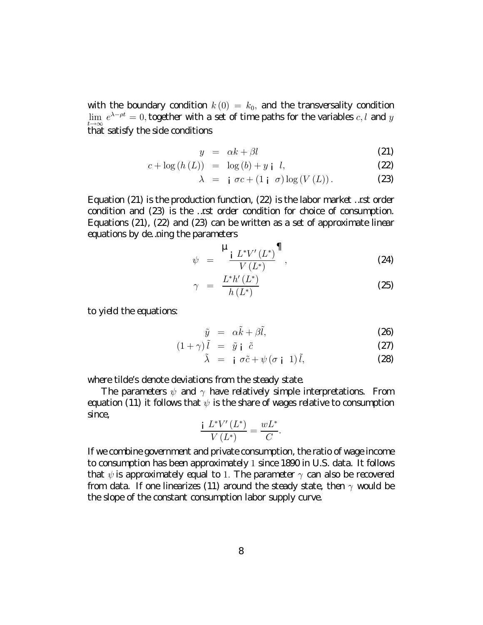with the boundary condition  $k(0) = k_0$ , and the transversality condition  $\lim\;e^{\lambda-\rho t}=0,$  together with a set of time paths for the variables  $c,l$  and  $y$  $t\rightarrow\infty$ <br>that satisfy the side conditions

$$
y = \alpha k + \beta l \tag{21}
$$

$$
c + \log(h(L)) = \log(b) + y + l,
$$
 (22)

$$
\lambda = \mathbf{i} \ \sigma c + (1 \mathbf{i} \ \sigma) \log(V(L)). \tag{23}
$$

Equation (21) is the production function, (22) is the labor market…rst order condition and (23) is the …rst order condition for choice of consumption. Equations (21), (22) and (23) can be written as a set of approximate linear equations by de...ning the parameters

$$
\psi = \frac{\mathbf{H}_{i} L^* V'(L^*)}{V(L^*)} \mathbf{\overline{I}} \tag{24}
$$

$$
\gamma = \frac{L^* h'(L^*)}{h(L^*)} \tag{25}
$$

to yield the equations:

$$
\tilde{y} = \alpha \tilde{k} + \beta \tilde{l}, \qquad (2\Theta)
$$

$$
(1+\gamma)\tilde{l} = \tilde{y} \mathbf{i} \tilde{c} \tag{27}
$$

$$
\tilde{\lambda} = i \sigma \tilde{c} + \psi (\sigma i \ 1) \tilde{l}, \qquad (28)
$$

where tilde's denote deviations from the steady state.

T he parameters  $\psi$  and  $\gamma$  have relatively simple interpretations. From equation (11) it follows that  $\psi$  is the share of vages relative to consumption since,

$$
\frac{\mathrm{i} L^* V'(L^*)}{V(L^*)} = \frac{wL^*}{C}.
$$

Ifwecombinegovernmentand privateconsumption, the ratio of wage income toconsumptionhasbeenapproximately1 since189 0 inU .S.data. Itfollows that  $\psi$  is approximately equal to 1. T he parameter  $\gamma$  can also be recovered from data. If one linearizes (11) around the steady state, then  $\gamma$  would be the slope of the constant consumption labor supply curve.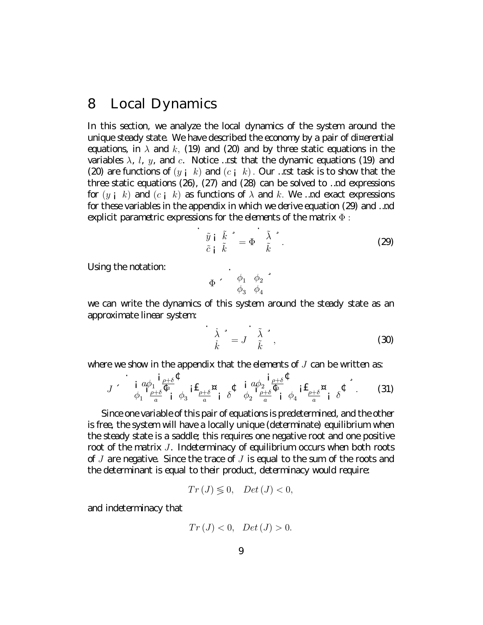#### 8  $L \nccd 0$  ynamics

In this section, we analyze the local dynamics of the system around the uniquesteady state. Il e have described the economy by a pair of di¤ erential equations, in  $\lambda$  and  $k$ , (19) and (20) and by three static equations in the variables  $\lambda$ ,  $l$ ,  $y$ , and  $c$ . If otice ... rst that the dynamic equations (19) and (20) are functions of  $(y_i, k)$  and  $(c_i, k)$ . 0 ur ... rst task is to show that the three static equations (2 $\Theta$ , (27) and (28) can be solved to ... not expressions for  $(y_i, k)$  and  $(c_i, k)$  as functions of  $\lambda$  and  $k$ . We ... not exact expressions for these variables in the appendix in which we derive equation  $(29)$  and ... nd explicit parametric expressions for the dements of the matrix  $\Phi$ :

$$
\begin{array}{c}\n\tilde{y} \text{ i } \tilde{k} \\
\tilde{c} \text{ i } \tilde{k}\n\end{array} = \Phi \begin{array}{c}\n\tilde{\lambda} \\
\tilde{k}\n\end{array}.
$$
\n(29)

U sing the notation

$$
\Phi \quad \begin{array}{cc} \phi_1 & \phi_2 \\ \phi_3 & \phi_4 \end{array} \begin{array}{c} \bullet \\ \bullet_3 \end{array}
$$

we can write the dynamics of this system around the steady state as an approximate linear system:

$$
\frac{\dot{\lambda}}{\dot{k}}^* = J \frac{\tilde{\lambda}}{\tilde{k}}, \qquad (30)
$$

where we show in the appendix that the elements of  $J$  can be written as:

$$
J \sim \mathbf{i} \frac{a\phi_1}{\phi_1} \frac{\phi_1}{\phi_2} \frac{\phi_2}{\phi_1} \phi_3 \mathbf{i} \mathbf{E}_{\phi_2} \mathbf{a} \mathbf{b} \phi_2 \mathbf{i} \frac{a\phi_2}{\phi_2} \frac{\mathbf{i} \phi_3}{\phi_1} \phi_3 \mathbf{i} \mathbf{E}_{\phi_2} \mathbf{b} \tag{31}
$$

Since one variable of this pair of equations is predetermined, and the other is free the system will have a locally unique (determinate) equilibrium when the steady state is a saddle this requires one negative root and one positive root of the matrix  $J$ . Indeterminacy of equilibrium cocurs when both roots of *J* are negative Since the trace of *J* is equal to the sum of the roots and the determinant is equal to their product, determinacy would require

$$
Tr\left(J\right) \lessgtr 0, \quad Det\left(J\right) < 0,
$$

and indeterminacy that

$$
Tr\left(J\right) < 0, \quad Det\left(J\right) > 0.
$$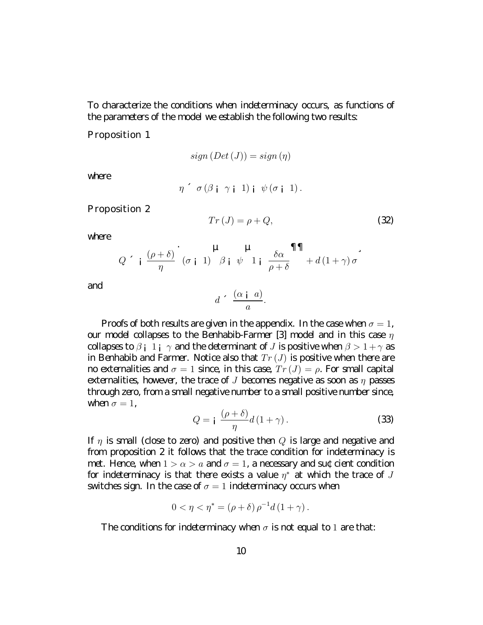To characterize the conditions when indeterminacy coours, as functions of the parameters of the model we establish the following two results:

Prapaition 1

$$
sign\left(Det\left(J\right)\right) = sign\left(\eta\right)
$$

where

$$
\eta \circ \sigma (\beta_{\mathbf{i}} \gamma_{\mathbf{i}} 1)_{\mathbf{i}} \psi (\sigma_{\mathbf{i}} 1).
$$

Prapaition 2

$$
Tr\left(J\right) = \rho + Q,\tag{32}
$$

where.

$$
Q \sim \frac{\left(\rho+\delta\right)}{\eta} \left(\sigma_{i} 1\right) \frac{\mu}{\beta} \psi \frac{\mu}{1} \frac{\delta \alpha}{\rho+\delta} \frac{\eta \eta}{1+\gamma} d(1+\gamma) \sigma
$$

and

$$
d \cdot \frac{(\alpha \mid a)}{a}.
$$

Proofs of both results are given in the appendix In the case when  $\sigma = 1$ , our model collapses to the B enhabib Farmer [3] model and in this case  $\eta$ collapses to  $\beta$  i 1 i  $\gamma$  and the determinant of J is positive when  $\beta > 1 + \gamma$  as in B enhabib and Farmer. II otice also that  $Tr(J)$  is positive when there are mo externalities and  $\sigma = 1$  since in this case,  $Tr(J) = \rho$ . For small capital externalities, however, the trace of J becomes negative as soon as  $\eta$  passes through zero from a small negative number to a small positive number since when  $\sigma = 1$ .

$$
Q = \mathbf{i} \frac{(\rho + \delta)}{\eta} d (1 + \gamma). \tag{33}
$$

If  $\eta$  is small (dose to zero) and positive then Q is large and negative and from proposition 2 it follows that the trace condition for indeterminacy is met II ence when  $1 > \alpha > a$  and  $\sigma = 1$ , a necessary and sut dent condition for indeterminacy is that there exists a value  $\eta^*$  at which the trace of J switches sign. In the case of  $\sigma = 1$  indeterminary coaurs when

$$
0 < \eta < \eta^* = (\rho + \delta) \rho^{-1} d (1 + \gamma).
$$

The conditions for indeterminecy when  $\sigma$  is not equal to 1 are that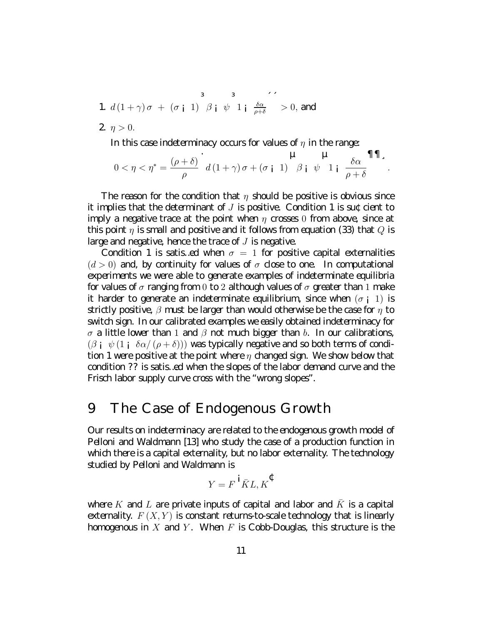1. 
$$
d(1+\gamma)\sigma + (\sigma_{i} 1) \beta_{i} \psi 1_{i} \frac{\delta \alpha}{\rho+\delta} > 0
$$
, and

2.  $\eta > 0$ .

In this case indeterminacy cocurs for values of  $\eta$  in the range

$$
0<\eta<\eta^*=\frac{(\rho+\delta)}{\rho} \cdot d(1+\gamma)\sigma+(\sigma_{\mathbf{i}} \ 1) \quad \beta_{\mathbf{i}} \ \psi \quad 1_{\mathbf{i}} \ \frac{\delta\alpha}{\rho+\delta} \mathbf{III}_{\mathbf{a}}.
$$

The reason for the condition that  $\eta$  should be positive is dovious since it implies that the determinant of  $J$  is positive. Condition 1 is sut dent to imply a negative trace at the point when  $\eta$  crosses 0 from above since at this paint  $\eta$  is small and positive and it follows from equation (33) that Q is large and negative, hence the trace of  $J$  is negative.

Condition 1 is satis ed when  $\sigma = 1$  for positive capital externalities  $(d > 0)$  and by continuity for values of  $\sigma$  dose to one In computational experiments we were able to generate examples of indeterminate equilibria for values of  $\sigma$  ranging from  $0$  to  $2$  although values of  $\sigma$  greater than  $1$  make it harder to generate an indeterminate equilibrium, since when  $(\sigma_{\rm i}$  1) is strictly positive  $\beta$  must be larger than would otherwise be the case for  $\eta$  to switch sign. In our calibrated examples we easily obtained indeterminecy for  $\sigma$  a little lover than 1 and  $\beta$  not much bigger than b. In our calibrations,  $(\beta_i \psi(1_i \delta \alpha/(\rho + \delta)))$  was typically negative and so both terms of cond $t$ ion 1 were positive at the point where  $\eta$  changed sign. We show below that condition ?? is satis...ed when the slopes of the labor demand curve and the Frisch labor supply curve cross with the "wrangslapes".

#### The Case of Endopmous & rowth 9

0 un results on indetermineay are related to the endogenous growth model of Pelloni and W aldmann [13] who study the case of a production function in which there is a capital externality, but no labor externality. The technology studied by Pelloni and W aldmann is

$$
Y = F \overset{\mathbf{i}}{K} L, K^{\mathbf{C}}
$$

where K and L are private inputs of capital and labor and  $\bar{K}$  is a capital externality.  $F(X, Y)$  is constant returns to scale technology that is linearly homogenous in X and Y. W hen F is CobbD ouglas, this structure is the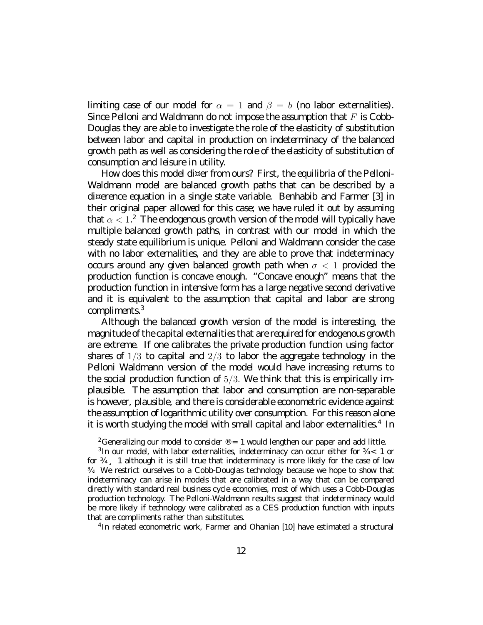limiting case of our model for  $\alpha = 1$  and  $\beta = b$  (no labor externalities). Since P elloni and W aldmann ob not impose the assumption that  $F$  is Cobb D audas they are able to investigate the rde of the elasticity of substitution between labor and capital in production on indeterminacy of the balanced gowth path as well as considering the rde of the dasticity of substitution of consumption and leisure in utility.

Il ovclos this model di¤ er from ours? First, the equilibria of the Pelloni-Ill aldmann model are balanced growth paths that can be described by a d<sup>ix</sup> erence equation in a single state variable. B enhabib and Farmer [3] in their criginal paper allowed for this case, we have ruled it out by assuming that  $\alpha < 1$ .<sup>2</sup> The endoptions growth version of the model will typically have multiple balanced growth paths, in contrast with our model in which the steady state equilibrium is unique Pelloni and W aldmann consider the case with no labor externalities, and they are able to prove that indeterminacy cocurs around any given belanced growth path when  $\sigma < 1$  provided the production function is concave enough "Concave enough" means that the production function in intensive form has a large negative second derivative and it is equivalent to the assumption that capital and labor are strong compliments.<sup>3</sup>

I I though the belenged growth version of the model is interesting the magnitude of the capital external ities that are required for endopmous growth are extreme. If one calibrates the private production function using factor shares of  $1/3$  to capital and  $2/3$  to labor the approprie technology in the Pelloni W aldmann version of the model would have increasing returns to the social production function of  $5/3$ . We think that this is empirically implausible. The assumption that labor and consumption are non-separable is hove ar, plausible and there is considerable econometric evidence against the assumption of looprithmic utility over consumption. For this reason alone itis worth studying the model with small capital and labor externalities.<sup>4</sup> In

<sup>4</sup>In related econometric work, Farmer and 0 hanian [10] have estimated a structural

<sup>&</sup>lt;sup>2</sup>f eneralizing curm cold to consider  $\theta = 1$  would lengthen curpaper and add little.

 $3$ In cur model, with labor externalities, indeterminacy can cocur either for  $\frac{3}{4} < 1$  or for  $\frac{y}{y}$  1 attract it is still true that indeterminacy is more likely for the case of low %. We restrict curselves to a Cdob D cudas technology because we hape to show that indeterminecy can arise in models that are calibrated in a way that can be compared directly with standard real business cycle economies, most of which uses a Cobb D oud as production technology. The Pelloni-W aldmann results suppest that indeterminacy would be more likely if technology were calibrated as a CES production function with inputs that are compliments rather than substitutes.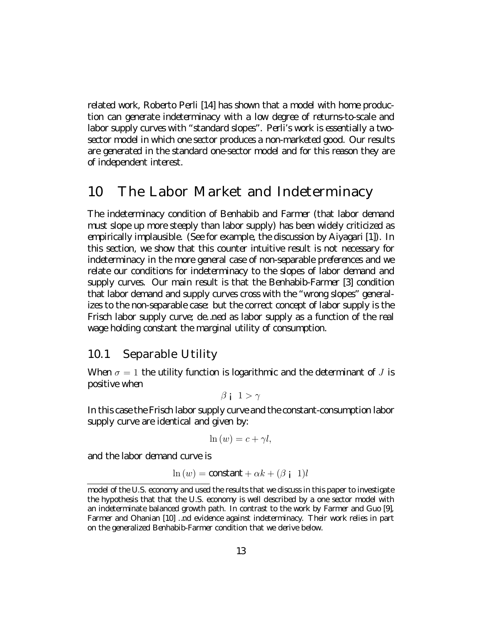related work, R doento P erli [14] has shown that a model with home production can generate indeterminacy with a low degree of returns to scale and labor supply curves with "standard slopes". Per li's work is essentially a two sector model in which one sector produces a non-marketed good 0 unresults are generated in the standard one sector model and for this reason they are of independent interest

# 10 The Labor III arket and Indeterminacy

The indeterminacy condition of B enhabib and Farmer (that labor demand must slope up more steeply than labor supply) has been widely oritioized as empirically implausible (See for example, the discussion by live april [1]). In this section, we show that this counter intuitive result is not necessary for indeterminacy in the more general case of non-separable preferences and we relate our conditions for indeterminacy to the slopes of labor demand and supply aurus. Our main result is that the B enhabib Farmer [3] condition that labor demand and supply curves cross with the "wrongslopes" generalizes to the non-seperable case but the correct concept of labor supply is the Frisch labor supply curve, de... ned as labor supply as a function of the real wape holding constant the marginal utility of consumption.

#### $10.1$ Separable U tility

W hen  $\sigma = 1$  the utility function is logarithmic and the determinant of J is positive when

 $\beta$  i  $1 > \gamma$ 

In this case the Frisch labor supply curve and the constant consumption labor supply autoe are identical and given by.

$$
\ln(w) = c + \gamma l,
$$

and the labor demand curve is

$$
\ln(w) = \text{constant} + \alpha k + (\beta \text{ i } 1)l
$$

model of the U.S. economy and used the results that we discuss in this paper to investigate the hypothesis that that the U.S. economy is well described by a one sector model with an indeterminate balanced growth path. In contrast to the work by Farmer and  $\mathfrak{l}$  up  $\lbrack\mathfrak{l}\rbrack$ Farmer and 0 hanian [10] ... nd evidence against indeterminacy. Their work relies in part on the generalized B enhabib Farmer condition that we derive below.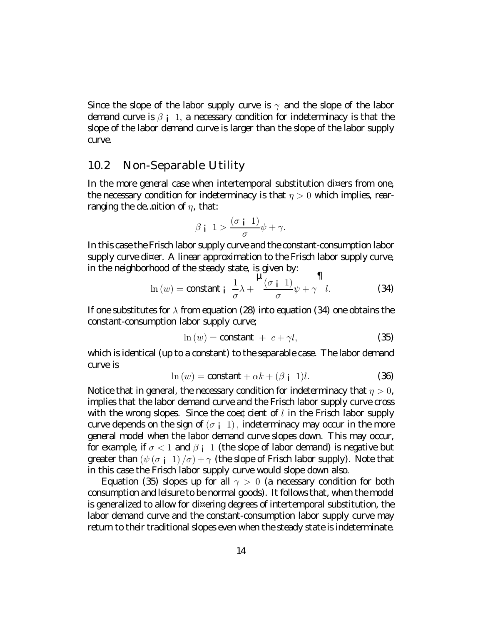Since the slope of the labor supply curve is  $\gamma$  and the slope of the labor demand curve is  $\beta$  ; 1, a necessary condition for indeterminacy is that the slope of the labor demand curve is larger than the slope of the labor supply **ane** 

#### $10.2$ ll an Separable U tility

In the mare agneral case when intertemparal substitution di¤ ers from one the necessary condition for indeterminacy is that  $\eta > 0$  which implies, rearranging the demotion of  $\eta$ , that

$$
\beta \mid 1 > \frac{(\sigma \mid 1)}{\sigma} \psi + \gamma.
$$

In this case the Frisch labor supply curve and the constant consumption labor supply authorizer. A linear approximation to the Frisch labor supply author in the neighborhood of the steady state, is given by.

$$
\ln(w) = \text{constant}_1 \frac{1}{\sigma} \lambda + \frac{\mu_{\sigma}^2}{\sigma} \psi + \gamma l. \tag{34}
$$

If one substitutes for  $\lambda$  from equation (28) into equation (34) one obtains the constant consumption labor supply curve;

$$
\ln(w) = \text{constant} + c + \gamma l,\tag{35}
$$

which is identical (up to a constant) to the separable case. The labor demand aneis

$$
\ln(w) = \text{constant} + \alpha k + (\beta \text{ i } 1)l. \tag{36}
$$

II otice that in general, the necessary condition for indeterminacy that  $\eta > 0$ , implies that the labor demand curve and the Frisch labor supply curve cross with the wrang slapes. Since the coeficient of  $l$  in the Frisch labor supply anvelopends on the sign of  $(\sigma_i, 1)$ , indeterminedy may coaur in the more general model when the labor demand curve slopes down. This may cocur, for example, if  $\sigma < 1$  and  $\beta_{1}$  1 (the slope of labor demand) is negative but greater than  $(\psi(\sigma_i 1)/\sigma) + \gamma$  (the slope of Frisch labor supply). If ote that in this case the Frisch labor supply curve would slope down also.

Equation (35) slopes up for all  $\gamma > 0$  (a necessary condition for both consumption and leisure to be normal goods). It follows that when the model is operatized to allow for dix entrophages of intertemporal substitution, the labor demand curve and the constant consumption labor supply curve may return to their traditional slopes even when the steady state is indeterminate.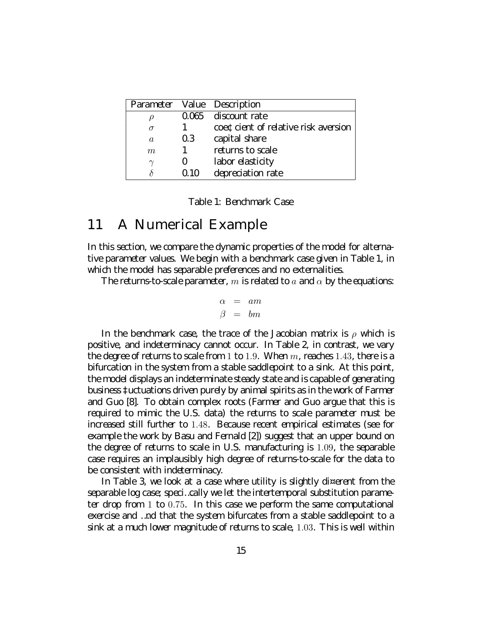|                |     | Parameter Value Description         |
|----------------|-----|-------------------------------------|
|                |     | $0.06$ discount rate                |
| $\sigma$       |     | coet dent of relative risk aversion |
| $\mathfrak{a}$ | 0.3 | capital share                       |
| m              |     | returns to scale                    |
| $\sim$         |     | laborelasticity                     |
|                |     | depreciation rate                   |

Table 1: Bendmark Case

#### 11 A II umerical Example

In this section, we compare the dynamic properties of the model for alternal tive parameter values. We begin with a bendmark case given in Table 1, in which the model has separable preferences and no external ities.

The returns to scale parameter, m is related to a and  $\alpha$  by the equations

$$
\begin{array}{rcl}\n\alpha & = & am \\
\beta & = & bm\n\end{array}
$$

In the bendmark case, the trace of the Jacobian matrix is  $\rho$  which is positive and indeterminecy cannot occur. In Table 2, in contrast, we very the degree of returns to scale from 1 to 1.9. W hen  $m<sub>i</sub>$  reaches 1.43, there is a bifurcation in the system from a stable saddlepoint to a sink  $\lambda$  t this point, the model displays an indeterminate steady state and is capable of cenerating business ‡uctuations driven purely by animal spirits as in the work of Farmer and  $\int$   $\infty$   $\lceil 8 \rceil$  To obtain complex roots (Farmer and  $\int$  up argue that this is required to mimic the U.S. data) the returns to scale parameter must be increased still further to 1.48. Because recent empirical estimates (see for example the work by B asu and Fernald [2]) suppet that an upper bound on the degree of returns to scale in U.S. manufacturing is 1.09, the separable case requires an implausibly high degree of returns to scale for the data to be consistent with indeterminacy.

In T able 3, we look at a case where utility is slightly diverent from the separable log case; speci...cally we let the intertemporal substitution parame ter drop from  $1 \text{ to } 0.75$ . In this case we perform the same computational exercise and ... nd that the system bifurcates from a stable saddlepoint to a sink at a much lover magnitude of returns to scale, 1.03. This is well within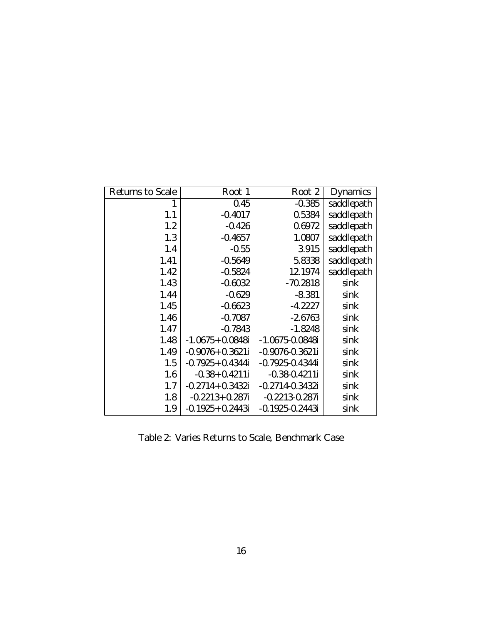| Returns to Scale | $R \cot 1$           | $R\cot 2$           | D ynamics |
|------------------|----------------------|---------------------|-----------|
| 1                | 0.45                 | $-0.385$            | saddepath |
| 1.1              | $-0.4017$            | 0.5384              | saddepath |
| 1.2              | $-0.426$             | 0.672               | saddepath |
| 1.3              | $-0.4657$            | 1.0807              | saddepath |
| 1.4              | $-0.55$              | 3.915               | saddepath |
| 1.41             | $-0.569$             | 5.8338              | saddepath |
| 1.42             | $-0.5824$            | 12.1974             | saddepath |
| 1.43             | $-0.6932$            | $-70.2818$          | sink      |
| 1.44             | $-0.629$             | $-8.381$            | sink      |
| 1.45             | $-0.6633$            | $-4.2227$           | sink      |
| 1.46             | $-0.7087$            | $-2.66$             | sink      |
| 1.47             | $-0.7843$            | $-1.8248$           | sink      |
| 1.48             | $-1.0G5+0.0848i$     | $-1.0G5 - 0.0848$ i | sink      |
| 1.49             | $-0.9076$ 0.3621i    | $-0.90760.3621i$    | sink      |
| 1.5              | $-0.7925 + 0.4344$   | $-0.7925 - 0.4344i$ | sink      |
| 1.6              | $-0.38 + 0.4211i$    | $-0.38 - 0.4211i$   | sink      |
| 1.7              | $-0.2714 + 0.3432i$  | $-0.27140.3432i$    | sink      |
| 1.8              | $-0.2213 + 0.287i$   | $-0.22130.287i$     | sink      |
| 1.9              | $-0.1925 + 0.2443$ i | $-0.1925 - 0.2443i$ | sink      |

Table 2: Varies R eturns to Scale, B endmark Case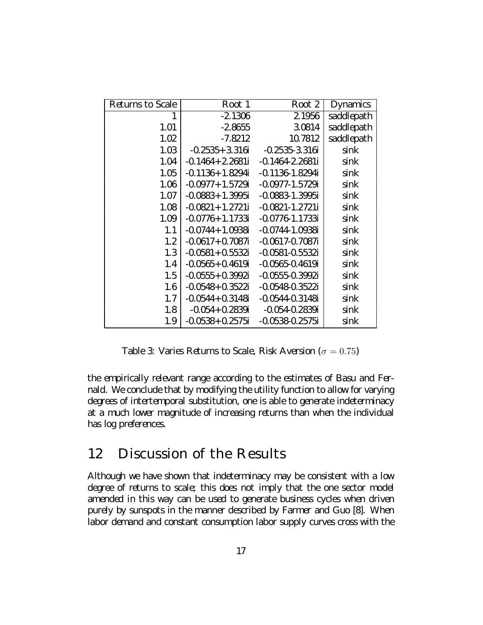| Returns to Scale | $R\cot 1$                          | $R\cot 2$                         | D ynamics |
|------------------|------------------------------------|-----------------------------------|-----------|
| 1                | $-2.1306$                          | 2.1956                            | saddepath |
| 1.01             | $-2.8$ $-55$                       | 3.0814                            | saddepath |
| 1.02             | $-7.8212$                          | 10.7812                           | saddepath |
| 1.03             | $-0.2535 + 3.316 - 0.2535 - 3.316$ |                                   | sink      |
| 1.04             | $-0.1464 + 2.2631$                 | $-0.14642.2631$                   | sink      |
| 1.05             | $-0.1136$ 1.829 4i                 | $-0.11361.8294i$                  | sink      |
| 1.06             | $-0.09$ 77 $+$ 1.5729 i            | $-0.09$ 77 $-1.5729$ i            | sink      |
| 1.07             | $-0.0883 + 1.3995$ i               | $-0.088331.3995i$                 | sink      |
| 1.08             | $-0.0821 + 1.2721i$                | $-0.0821 - 1.2721i$               | sink      |
| 1.09             | $-0.0776$ 1.1733i                  | $-0.07761.1733$                   | sink      |
| 1.1              | $-0.0744 + 1.0938i$                | $-0.07441.0938i$                  | sink      |
| 1.2              | $-0.0$ <del>(3</del> 7+ 0.708 7i   | $-0.0$ <del>6</del> 7 $-0.708$ 7i | sink      |
| 1.3              | $-0.0581 + 0.5532i$                | $-0.0581 - 0.5532i$               | sink      |
| 1.4              | $-0.05G + 0.4G9i$                  | $-0.056 - 0.469i$                 | sink      |
| 1.5              | $-0.0555+0.3992i$                  | $-0.0555 - 0.3992i$               | sink      |
| 1.6              | $-0.0548 + 0.3522i$                | $-0.0548 - 0.3522i$               | sink      |
| 1.7              | $-0.0544 + 0.3148$ i               | $-0.05440.3148$ i                 | sink      |
| 1.8              | $-0.054 + 0.2839i$                 | -0.054-0.2839i                    | sink      |
| 1.9              | $-0.053 + 0.2575i$                 | $-0.0538 - 0.2575i$               | sink      |

Table 3: V aries R eturns to Scale, R isk A version ( $\sigma = 0.75$ )

the empirically relevant range according to the estimates of B asu and Fernald. We condude that by modifying the utility function to allow for varying degrees of intertemporal substitution, one is able to generate indeterminacy at a much lower magnitude of increasing returns than when the individual has logpreferences.

# 12 D iscussion of the Results

A Ithough we have shown that indeterminacy may be consistent with a low degree of returns to scale; this does not imply that the one sector model amended in this way can be used to generate business cycles when driven purely by sunspots in the manner described by Farmer and  $G$  uo [8]. W hen labor demand and constant consumption labor supply curves cross with the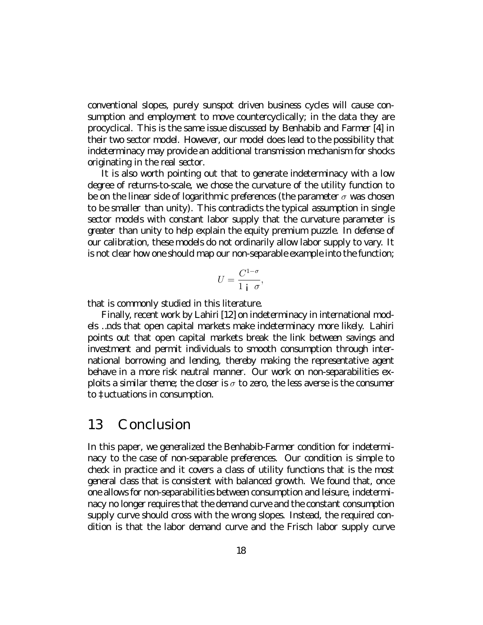conventional slopes, purely sunspot chiven business cycles will cause consumption and employment to move countercydically, in the data they are procydical. This is the same issue discussed by B enhabib and Farmer [4] in their two sector model. It owever, curmodel class lead to the possibility that indeterminacy may provide an additional transmission mechanism for shocks criginating in the real sector.

It is also worth pointing out that to generate indeterminacy with a low degree of returns to scale, we chose the curvature of the utility function to be on the linear side of looprithmic preferences (the parameter  $\sigma$  was drosen to be smaller than unity). This contradicts the typical assumption in single sector models with constant labor supply that the curvature parameter is geater than unity to help explain the equity premium puzzle. In defense of aurcalibration, these models obnot ordinarily allow labor supply to vary. It is not dear how one should map our non-separable example into the function;

$$
U = \frac{C^{1-\sigma}}{1+i\sigma},
$$

that is commonly studied in this literature.

Finally recentwork by Lahiri [12] on indeterminacy in international models ...nds that open capital markets make indeterminacy more likely. Lahiri paints out that open capital markets break the link between savings and investment and permit individuals to smooth consumption through international borrowing and lending thereby making the representative agent behave in a more risk neutral manner. Our work on non-separabilities explots a similar then ether doser is  $\sigma$  to zero the less averse is the consumer to ‡uduations in consumption.

## 13 Candusian

In this paper, we opperalized the B enhabib Farmer condition for indeterminacy to the case of non-separable preferences. Our condition is simple to dneck in practice and it covers a dass of utility functions that is the most general dass that is consistent with balanced growth. We found that, once one allows for non-seperabilities between consumption and leisure, indetermirecynolonger requires that the demand ourveard the constant consumption supply anve should aross with the wrang slapes. Instead, the required candition is that the labor demand curve and the Frisch labor supply curve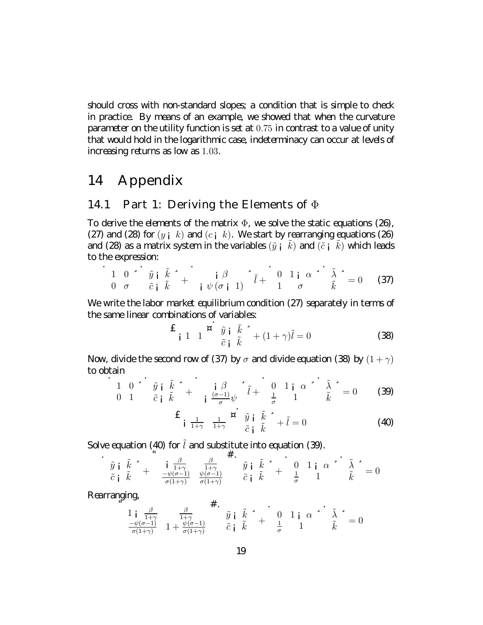should aross with non-standard slopes; a condition that is simple to dneck in practice By means of an example, we showed that when the curvature parameter on the utility function is set at 0.75 in contrast to a value of unity that would hold in the logarithmic case, indeterminacy can occur at levels of  $increasing$ returns as low as 1.03.

# 14 A ppendix

#### 14.1 Part 1: D eriving the Elements of  $\Phi$

To derive the elements of the matrix  $\Phi$ , we solve the static equations (2 $\Theta$ , (27) and (28) for  $(y_i, k)$  and  $(c_i, k)$ . We start by rearranging equations (2 $\Theta$ and (28) as a matrix system in the variables  $(\tilde{y} + k)$  and  $(\tilde{c} + k)$  which leads to the expression

$$
\frac{1}{0} \quad \frac{0}{\sigma} \quad \frac{\tilde{v}}{\tilde{c}} \quad \frac{\tilde{k}}{\tilde{k}} \quad \frac{\tilde{v}}{\tilde{t}} + \quad \frac{\tilde{v}}{\tilde{v}} \quad \frac{\beta}{\tilde{v}} \quad \frac{\tilde{v}}{\tilde{v}} \quad \frac{\tilde{v}}{\tilde{t}} + \quad \frac{0}{1} \quad \frac{1}{\sigma} \quad \frac{\alpha}{\tilde{k}} \quad \frac{\tilde{v}}{\tilde{k}} \quad = 0 \tag{37}
$$

Il ewrite the labor market equilibrium condition (27) separately in terms of the same linear combinations of variables.

$$
\mathbf{E}_{\mathbf{i}} \mathbf{1} \mathbf{1} \mathbf{X} \mathbf{X} \mathbf{Y} \mathbf{Y} \mathbf{Y} \mathbf{Y} \mathbf{Y} \mathbf{Y} \mathbf{Y} \mathbf{Y} \mathbf{Y} \mathbf{Y} \mathbf{Y} \mathbf{Y} \mathbf{Y} \mathbf{Y} \mathbf{Y} \mathbf{Y} \mathbf{Y} \mathbf{Y} \mathbf{Y} \mathbf{Y} \mathbf{Y} \mathbf{Y} \mathbf{Y} \mathbf{Y} \mathbf{Y} \mathbf{Y} \mathbf{Y} \mathbf{Y} \mathbf{Y} \mathbf{Y} \mathbf{Y} \mathbf{Y} \mathbf{Y} \mathbf{Y} \mathbf{Y} \mathbf{Y} \mathbf{Y} \mathbf{Y} \mathbf{Y} \mathbf{Y} \mathbf{Y} \mathbf{Y} \mathbf{Y} \mathbf{Y} \mathbf{Y} \mathbf{Y} \mathbf{Y} \mathbf{Y} \mathbf{Y} \mathbf{Y} \mathbf{Y} \mathbf{Y} \mathbf{Y} \mathbf{Y} \mathbf{Y} \mathbf{Y} \mathbf{Y} \mathbf{Y} \mathbf{Y} \mathbf{Y} \mathbf{Y} \mathbf{Y} \mathbf{Y} \mathbf{Y} \mathbf{Y} \mathbf{Y} \mathbf{Y} \mathbf{Y} \mathbf{Y} \mathbf{Y} \mathbf{Y} \mathbf{Y} \mathbf{Y} \mathbf{Y} \mathbf{Y} \mathbf{Y} \mathbf{Y} \mathbf{Y} \mathbf{Y} \mathbf{Y} \mathbf{Y} \mathbf{Y} \mathbf{Y} \mathbf{Y} \mathbf{Y} \mathbf{Y} \mathbf{Y} \mathbf{Y} \mathbf{Y} \mathbf{Y} \mathbf{Y} \mathbf{Y} \mathbf{Y} \mathbf{Y} \mathbf{Y} \mathbf{Y} \mathbf{Y} \mathbf{Y} \mathbf{Y} \mathbf{Y} \mathbf{Y} \mathbf{Y} \mathbf{Y} \mathbf{Y} \mathbf{Y} \mathbf{Y} \mathbf{Y} \mathbf{Y} \mathbf{Y} \mathbf{Y} \mathbf{Y} \mathbf{Y} \mathbf{Y} \mathbf{Y} \mathbf{Y} \mathbf{Y} \mathbf{Y} \mathbf{Y} \mathbf{Y} \mathbf{Y} \mathbf{Y
$$

II av divide the second raw of (37) by  $\sigma$  and divide equation (38) by  $(1+\gamma)$ todotain

$$
\begin{array}{ccc}\n1 & 0 & \stackrel{\bullet}{\bullet} & \tilde{y} & \tilde{k} & \stackrel{\bullet}{\bullet} \\
0 & 1 & \tilde{c} & \tilde{k} & \stackrel{\bullet}{\bullet} \\
\end{array} + \begin{array}{ccc}\n\vdots & \beta & \stackrel{\bullet}{\bullet} & \tilde{l} & \stackrel{\bullet}{\bullet} \\
\frac{(\sigma-1)}{\sigma}\psi & \tilde{l} & \frac{1}{\sigma} & \frac{1}{\sigma} & \frac{\alpha}{1} & \tilde{k} \\
\end{array} = 0 \qquad (3)
$$

$$
\mathbf{E}_{\mathbf{i}} \frac{1}{1+\gamma} \frac{1}{1+\gamma} \mathbf{E}_{\tilde{c} \mathbf{i}} \tilde{y} \tilde{y} \tilde{k} \tilde{z} + \tilde{l} = 0 \tag{40}
$$

Sdveequation (40) for  $\tilde{l}$  and substitute into equation (3).

 $\mathbf{u}$ 

$$
\begin{array}{ccccccccc}\n\tilde{y} & \tilde{k} & \ast & & & & \\
\tilde{y} & \tilde{k} & \tilde{k} & & & & \\
\tilde{c} & \tilde{k} & & & & & \\
\tilde{c} & \tilde{k} & & & & & \\
\tilde{c} & \tilde{k} & & & & & \\
\tilde{c} & \tilde{k} & & & & \\
\tilde{c} & \tilde{k} & & & & \\
\tilde{c} & \tilde{k} & & & & \\
\tilde{c} & \tilde{k} & & & & \\
\tilde{c} & \tilde{k} & & & & \\
\tilde{c} & \tilde{k} & & & & \\
\tilde{c} & \tilde{k} & & & & \\
\tilde{c} & \tilde{k} & & & & \\
\tilde{c} & \tilde{k} & & & & \\
\tilde{c} & \tilde{k} & & & & \\
\tilde{c} & \tilde{k} & & & & \\
\tilde{c} & \tilde{k} & & & & \\
\tilde{c} & \tilde{k} & & & & \\
\tilde{c} & \tilde{k} & & & & \\
\tilde{c} & \tilde{k} & & & & \\
\tilde{c} & \tilde{k} & & & & \\
\tilde{c} & \tilde{k} & & & & \\
\tilde{c} & \tilde{k} & & & & \\
\tilde{c} & \tilde{k} & & & & \\
\tilde{c} & \tilde{k} & & & & \\
\tilde{c} & \tilde{k} & & & & \\
\tilde{c} & \tilde{k} & & & &
$$

Rearranging

$$
\frac{1}{\frac{1}{\sigma(1+\gamma)}} \frac{\beta}{1+\frac{\psi(\sigma-1)}{\sigma(1+\gamma)}} + \frac{\tilde{y}}{\tilde{y}} \frac{\tilde{k}}{\tilde{k}} + \frac{0}{\frac{1}{\sigma}} \frac{1}{1} \alpha + \frac{\tilde{\lambda}}{\tilde{k}} = 0
$$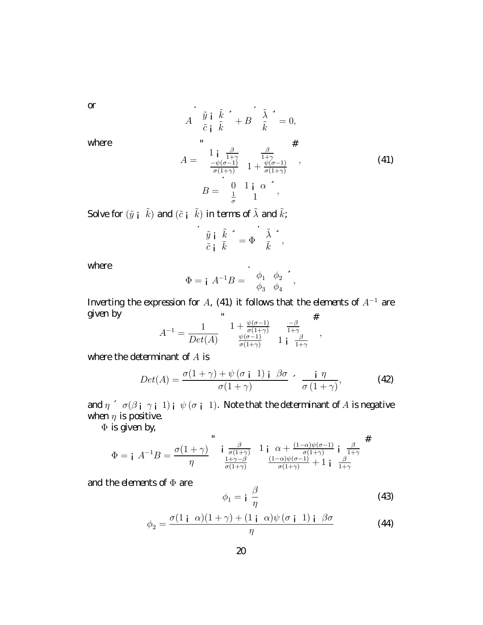$\sigma$ 

$$
A \begin{array}{c} \tilde{y} \text{ i } \tilde{k} \rightarrow B \\ \tilde{c} \text{ i } \tilde{k} \rightarrow B \tilde{k} = 0, \\ \mathbf{m} \end{array}
$$
  
\n
$$
A = \begin{array}{c} 1 \text{ i } \frac{\beta}{1+\gamma} \\ \frac{-\psi(\sigma-1)}{\sigma(1+\gamma)} & 1 + \frac{\psi(\sigma-1)}{\sigma(1+\gamma)} \\ \mathbf{m} \end{array}, \qquad (41)
$$
  
\n
$$
B = \begin{array}{c} 0 & 1 \text{ i } \alpha \\ \frac{1}{\sigma} & 1 \end{array}
$$

where

Sdve for  $(\tilde{y} + \tilde{k})$  and  $(\tilde{c} + \tilde{k})$  in terms of  $\tilde{\lambda}$  and  $\tilde{k}$ ;

$$
\begin{array}{c}\n \stackrel{\circ}{\tilde{y}}\n \stackrel{\circ}{\tilde{i}}\n \stackrel{\circ}{\tilde{k}}\n \stackrel{\circ}{\tilde{k}}\n =\n \Phi\n \stackrel{\circ}{\tilde{k}}\n \end{array}
$$

where

$$
\Phi = \mathbf{i} \ \ A^{-1} B = \begin{bmatrix} \phi_1 & \phi_2 \\ \phi_3 & \phi_4 \end{bmatrix}^2,
$$

Inverting the expression for A, (41) it follows that the dements of  $A^{-1}$  are gven by  $\sim 10^{-7}$  $\overline{u}$ 

$$
A^{-1} = \frac{1}{Det(A)} \begin{array}{cc} 1 + \frac{\psi(\sigma - 1)}{\sigma(1 + \gamma)} & \frac{-\beta}{1 + \gamma} \\ \frac{\psi(\sigma - 1)}{\sigma(1 + \gamma)} & 1 & \frac{\beta}{1 + \gamma} \end{array},
$$

where the determinant of  $A$  is

$$
Det(A) = \frac{\sigma(1+\gamma) + \psi(\sigma i \ 1) i \beta \sigma}{\sigma(1+\gamma)} \cdot \frac{i \eta}{\sigma(1+\gamma)},
$$
 (42)

 $\text{and } \eta \in \sigma(\beta_{\text{I}} \mid \gamma_{\text{I}} \mid 1)_{\text{I}} \neq (\sigma_{\text{I}} \mid 1)$ . If ote that the determinant of A is negative when  $\eta$  is positive.

 $\Phi$  is given by

$$
\Phi = \mathbf{i} \ \ A^{-1}B = \frac{\sigma(1+\gamma)}{\eta} \begin{array}{c} \mathbf{i} \ \frac{\beta}{\sigma(1+\gamma)} & 1 & \alpha + \frac{(1-\alpha)\psi(\sigma-1)}{\sigma(1+\gamma)} & \mathbf{i} \ \frac{1+\gamma-\beta}{\sigma(1+\gamma)} & \frac{(1-\alpha)\psi(\sigma-1)}{\sigma(1+\gamma)} + 1 & \mathbf{i} \ \frac{\beta}{1+\gamma} \end{array}
$$

and the dements of  $\Phi$  are

$$
\phi_1 = \mathbf{i} \frac{\beta}{\eta} \tag{43}
$$

$$
\phi_2 = \frac{\sigma(1 \mathbf{i} \ \alpha)(1+\gamma) + (1 \mathbf{i} \ \alpha)\psi(\sigma \mathbf{i} \ 1) \mathbf{i} \ \beta\sigma}{\eta}
$$
(44)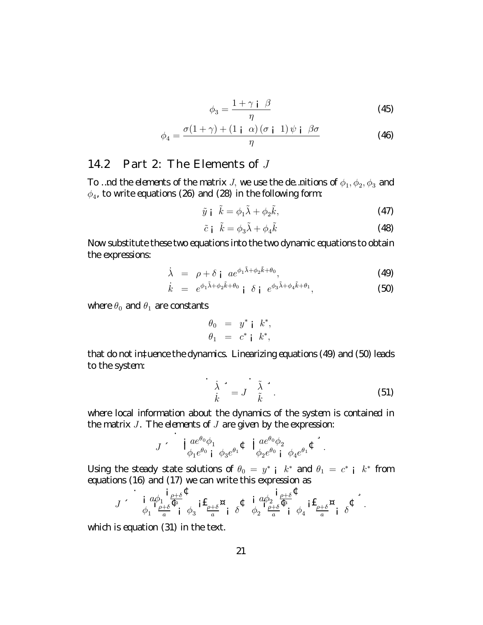$$
\phi_3 = \frac{1 + \gamma \mathrm{i} \beta}{\eta} \tag{45}
$$

$$
\phi_4 = \frac{\sigma(1+\gamma) + (1 \mathbf{i} \ \alpha) (\sigma \mathbf{i} \ 1) \psi \mathbf{i} \ \beta \sigma}{\eta}
$$
 (46)

### 14.2  $Part 2: The Elements of J$

To ... nd the dements of the matrix J, we use the de.. nitions of  $\phi_1, \phi_2, \phi_3$  and  $\phi_4$ , to write equations (2 $\Theta$  and (28) in the following form:

$$
\tilde{y} \mathbf{i} \quad \tilde{k} = \phi_1 \tilde{\lambda} + \phi_2 \tilde{k},\tag{47}
$$

$$
\tilde{c} \dot{\mathbf{i}} \quad \tilde{k} = \phi_3 \tilde{\lambda} + \phi_4 \tilde{k} \tag{48}
$$

Il ovsubstitute these twoequations into the twodynamicequations to obtain the expressions:

$$
\dot{\lambda} = \rho + \delta \, \mathbf{j} \, a e^{\phi_1 \tilde{\lambda} + \phi_2 \tilde{k} + \theta_0}, \tag{49}
$$

$$
\dot{k} = e^{\phi_1 \tilde{\lambda} + \phi_2 \tilde{k} + \theta_0} \mathbf{i} \delta \mathbf{j} e^{\phi_3 \tilde{\lambda} + \phi_4 \tilde{k} + \theta_1}, \tag{50}
$$

where  $\theta_0$  and  $\theta_1$  are constants

$$
\begin{array}{rcl}\n\theta_0 & = & y^* \mathsf{i} \quad k^*, \\
\theta_1 & = & c^* \mathsf{i} \quad k^*,\n\end{array}
$$

that donot intuence the dynamics. L inearizing equations (4) and (50) leads to the system:

$$
\frac{\dot{\lambda}}{\dot{k}}^2 = J \frac{\tilde{\lambda}}{\tilde{k}}^2.
$$
 (51)

where local information about the dynamics of the system is contained in the matrix  $J$ . The denents of  $J$  are given by the expression

$$
J \cdot \mathbf{i}_{\phi_1 e^{\theta_0} \phi_1 \phi_3 e^{\theta_1}} a \mathbf{t}_{\phi_2 e^{\theta_0} \mathbf{i}_{\phi_2} e^{\theta_0} \phi_2} a \mathbf{t}_{\phi_3 e^{\theta_1}} \mathbf{t}_{\phi_4 e^{\theta_1}}.
$$

U sing the steady state solutions of  $\theta_0 = y^*$  i  $k^*$  and  $\theta_1 = c^*$  i  $k^*$  from equations (16 and (17) we can write this expression as

$$
J \sim \int_{\phi_1}^{\mathbf{i}} \frac{a\phi_1}{\phi_1} \frac{\phi_1}{\phi_2} \frac{\phi_2}{\phi_3} \mathbf{i} \mathbf{f} \frac{\phi_1}{\phi_2} \mathbf{g} \frac{\phi_1}{\phi_1} \frac{\phi_2}{\phi_2} \frac{\mathbf{i}}{\phi_2} \frac{\phi_1}{\phi_3} \frac{\phi_2}{\phi_3} \mathbf{i} \mathbf{f} \frac{\phi_1}{\phi_2} \mathbf{g} \frac{\phi_2}{\phi_1} \frac{\phi_1}{\phi_2} \mathbf{i} \mathbf{f} \frac{\phi_1}{\phi_2} \mathbf{i} \mathbf{f} \frac{\phi_2}{\phi_1} \mathbf{j} \mathbf{f} \frac{\phi_2}{\phi_2} \mathbf{j} \mathbf{j} \mathbf{k}
$$

which is equation (31) in the text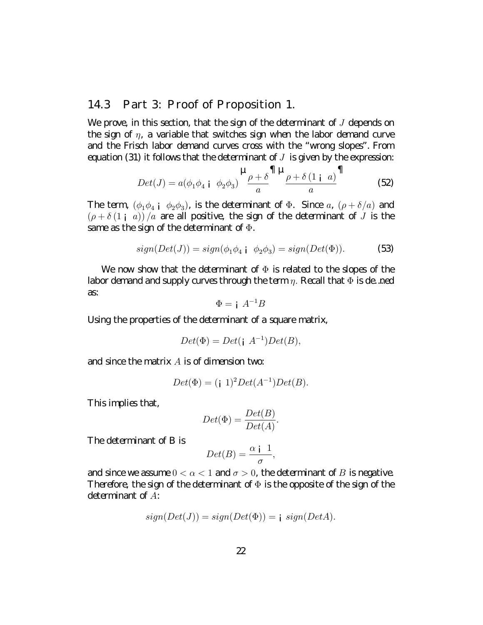### 14.3 Part 3: Proof of Proposition 1.

If eprove in this section, that the sign of the determinant of  $J$  depends on the sign of  $\eta$ , a variable that switches sign when the labor demand curve and the Frisch labor demand curves cross with the "wrong slopes". From equation (31) it follows that the determinant of  $J$  is given by the expression

$$
Det(J) = a(\phi_1 \phi_4 \text{ i } \phi_2 \phi_3) \frac{\mu_{\rho + \delta} \Pi \mu_{\rho + \delta(1 \text{ i } a)} \Pi}{a}
$$
 (52)

The term,  $(\phi_1 \phi_4 \phi_3)$ , is the determinent of  $\Phi$ . Since  $a_i$ ,  $(\rho + \delta/a)$  and  $(\rho + \delta(1_{i} a)) / a$  are all positive, the sign of the determinant of J is the same as the sign of the determinant of  $\Phi$ .

$$
sign(Det(J)) = sign(\phi_1 \phi_4 \mid \phi_2 \phi_3) = sign(Det(\Phi)).
$$
 (53)

If e now show that the determinant of  $\Phi$  is related to the slopes of the Iabordamand and supply ourves through the term  $\eta$ . Recall that  $\Phi$  is de ned  $\mathcal{E}$ 

$$
\Phi = i A^{-1}B
$$

U sing the properties of the determinant of a square matrix,

$$
Det(\Phi) = Det(\mathbf{i} \ A^{-1})Det(B),
$$

and since the matrix  $A$  is of dimension two

$$
Det(\Phi) = (i \ 1)^2 Det(A^{-1}) Det(B).
$$

This implies that,

$$
Det(\Phi) = \frac{Det(B)}{Det(A)}.
$$

The determinant of B is

$$
Det(B) = \frac{\alpha \, \mathbf{i} \, 1}{\sigma},
$$

and since we assume  $0 < \alpha < 1$  and  $\sigma > 0$ , the determinant of B is negative. Therefore, the sign of the determinant of  $\Phi$  is the apposite of the sign of the determinant of  $A$ :

$$
sign(Det(J)) = sign(Det(\Phi)) = j \ sign(DetA).
$$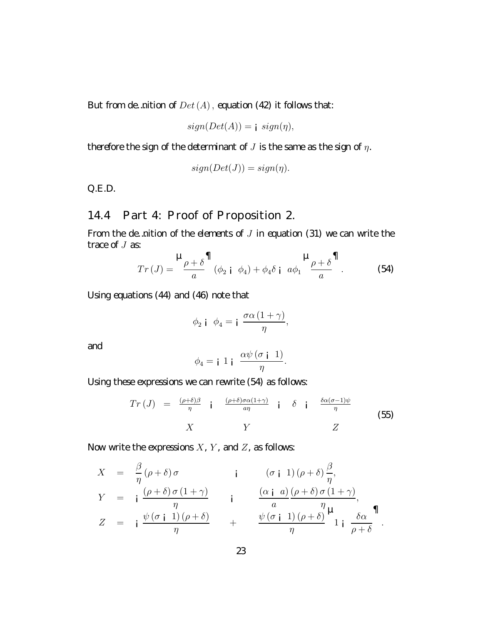But from  $\text{d}e$ ... nition of  $Det(A)$ , equation (42) it follows that

$$
sign(Det(A)) = j \ sign(\eta),
$$

therefore the sign of the determinant of J is the same as the sign of  $\eta$ .

$$
sign(Det(J))=sign(\eta).
$$

 $Q.E.D.$ 

## 14.4 Part 4: Proof of Proposition 2.

From the de. nition of the elements of  $J$  in equation (31) we can write the  $\text{trace} fJ$  as

$$
Tr (J) = \frac{\mu_{\rho + \delta} \mathbf{1}}{a} (\phi_2 \mathbf{i} \ \phi_4) + \phi_4 \delta \mathbf{i} \ a\phi_1 \frac{\mu_{\rho + \delta} \mathbf{1}}{a}.
$$
 (54)

U singequations (44) and (46) note that

$$
\phi_2 \mathbf{i} \quad \phi_4 = \mathbf{i} \quad \frac{\sigma \alpha \left(1 + \gamma\right)}{\eta},
$$

and

$$
\phi_4 = \mathbf{i} \ 1 \ \mathbf{i} \ \ \frac{\alpha \psi \left(\sigma \ \mathbf{i} \ 1\right)}{\eta}.
$$

U sing these expressions we can rewrite (54) as follows:

$$
Tr (J) = \frac{(\rho + \delta)\beta}{\eta} \quad \text{i} \quad \frac{(\rho + \delta)\sigma\alpha(1+\gamma)}{a\eta} \quad \text{i} \quad \delta \quad \text{i} \quad \frac{\delta\alpha(\sigma - 1)\psi}{\eta} \tag{55}
$$

Il ovvrite the expressions  $X$ ,  $Y$ , and  $Z$ , as follows:

$$
X = \frac{\beta}{\eta} (\rho + \delta) \sigma
$$
  
\n
$$
Y = i \frac{(\rho + \delta) \sigma (1 + \gamma)}{\eta}
$$
  
\n
$$
Z = i \frac{\psi(\sigma i \ 1)(\rho + \delta)}{\eta}
$$
  
\n
$$
Z = i \frac{\psi(\sigma i \ 1)(\rho + \delta)}{\eta}
$$
  
\n
$$
Z = i \frac{\psi(\sigma i \ 1)(\rho + \delta)}{\eta}
$$
  
\n
$$
Z = i \frac{\psi(\sigma i \ 1)(\rho + \delta)}{\eta}
$$
  
\n
$$
Z = i \frac{\psi(\sigma i \ 1)(\rho + \delta)}{\eta}
$$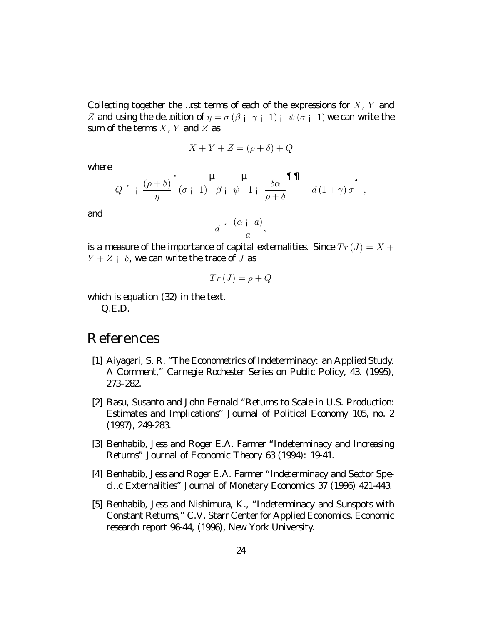Collecting together the ... rst terms of each of the expressions for  $X$ ,  $Y$  and Z and using the demotion of  $\eta = \sigma(\beta + \gamma + 1) + \psi(\sigma + 1)$  we can write the sum of the terms  $X$ ,  $Y$  and  $Z$  as

$$
X + Y + Z = (\rho + \delta) + Q
$$

where

$$
Q \sim \frac{(\rho+\delta)}{\eta} \left( \sigma_{i} 1 \right) \frac{\mu}{\beta} \psi_{1} \psi_{1} \frac{\delta \alpha}{\rho+\delta} \mathbf{1} \mathbf{1} \frac{\delta \alpha}{\beta} ,
$$

and

$$
d \leq \frac{(\alpha \mathbf{i} \ a)}{a},
$$

is a measure of the importance of capital external ities. Since  $Tr(J) = X +$  $Y + Z$  i  $\delta$ , we can write the trace of J as

$$
Tr\left( J\right) =\rho +Q
$$

which is equation  $(32)$  in the text  $Q.E.D.$ 

## R eferences

- [1] A iyagari, S.R. "The Econometrics of Indeterminacy. an A pplied Study. A Comment" Carnegie Rochester Series on Public Policy, 43. (1995), 273-282
- [2] B asy Susanto and John Fernald "Returns to Scale in U.S. Production. Estimates and Implications" Journal of Political Economy 105, no 2  $(1997)$ , 249 - 283.
- [3] B enhabib, Jess and R copr E.A. Farmer "Indeterminacy and Increasing Returns" Journal of Economic Theory 63 (1994): 19-41.
- [4] B enhabib, Jess and R copr E.I. Farmer "Indeterminacy and Sector Spe d...c Externalities" Journal of III onetary Economics 37 (199 A 421-443.
- [5] B enhabib, Jess and II ishimura K., "Indeterminacy and Sunspots with Constant Returns," C.V. Stan Center for Il pplied Economics, Economic research report! 644, (19! 6, Il evy orkul niversity.